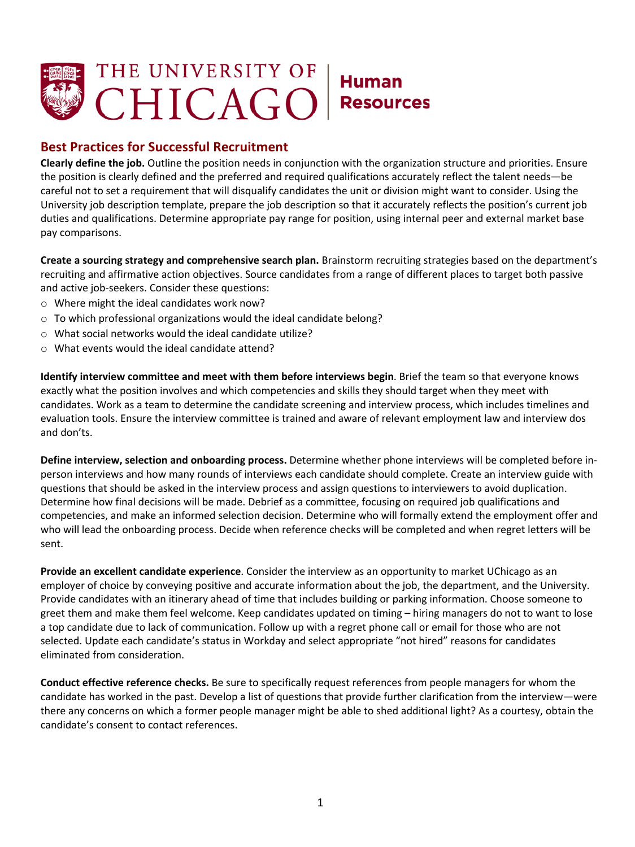

## **Best Practices for Successful Recruitment**

 **Clearly define the job.** Outline the position needs in conjunction with the organization structure and priorities. Ensure the position is clearly defined and the preferred and required qualifications accurately reflect the talent needs—be careful not to set a requirement that will disqualify candidates the unit or division might want to consider. Using the University job description template, prepare the job description so that it accurately reflects the position's current job duties and qualifications. Determine appropriate pay range for position, using internal peer and external market base pay comparisons.

 **Create a sourcing strategy and comprehensive search plan.** Brainstorm recruiting strategies based on the department's recruiting and affirmative action objectives. Source candidates from a range of different places to target both passive and active job-seekers. Consider these questions:

- o Where might the ideal candidates work now?
- $\circ$  To which professional organizations would the ideal candidate belong?
- o What social networks would the ideal candidate utilize?
- o What events would the ideal candidate attend?

 **Identify interview committee and meet with them before interviews begin**. Brief the team so that everyone knows exactly what the position involves and which competencies and skills they should target when they meet with candidates. Work as a team to determine the candidate screening and interview process, which includes timelines and evaluation tools. Ensure the interview committee is trained and aware of relevant employment law and interview dos and don'ts.

 **Define interview, selection and onboarding process.** Determine whether phone interviews will be completed before in- person interviews and how many rounds of interviews each candidate should complete. Create an interview guide with questions that should be asked in the interview process and assign questions to interviewers to avoid duplication. Determine how final decisions will be made. Debrief as a committee, focusing on required job qualifications and competencies, and make an informed selection decision. Determine who will formally extend the employment offer and who will lead the onboarding process. Decide when reference checks will be completed and when regret letters will be sent.

 employer of choice by conveying positive and accurate information about the job, the department, and the University. Provide candidates with an itinerary ahead of time that includes building or parking information. Choose someone to greet them and make them feel welcome. Keep candidates updated on timing – hiring managers do not to want to lose a top candidate due to lack of communication. Follow up with a regret phone call or email for those who are not selected. Update each candidate's status in Workday and select appropriate "not hired" reasons for candidates eliminated from consideration. **Provide an excellent candidate experience**. Consider the interview as an opportunity to market UChicago as an

 **Conduct effective reference checks.** Be sure to specifically request references from people managers for whom the candidate has worked in the past. Develop a list of questions that provide further clarification from the interview—were there any concerns on which a former people manager might be able to shed additional light? As a courtesy, obtain the candidate's consent to contact references.